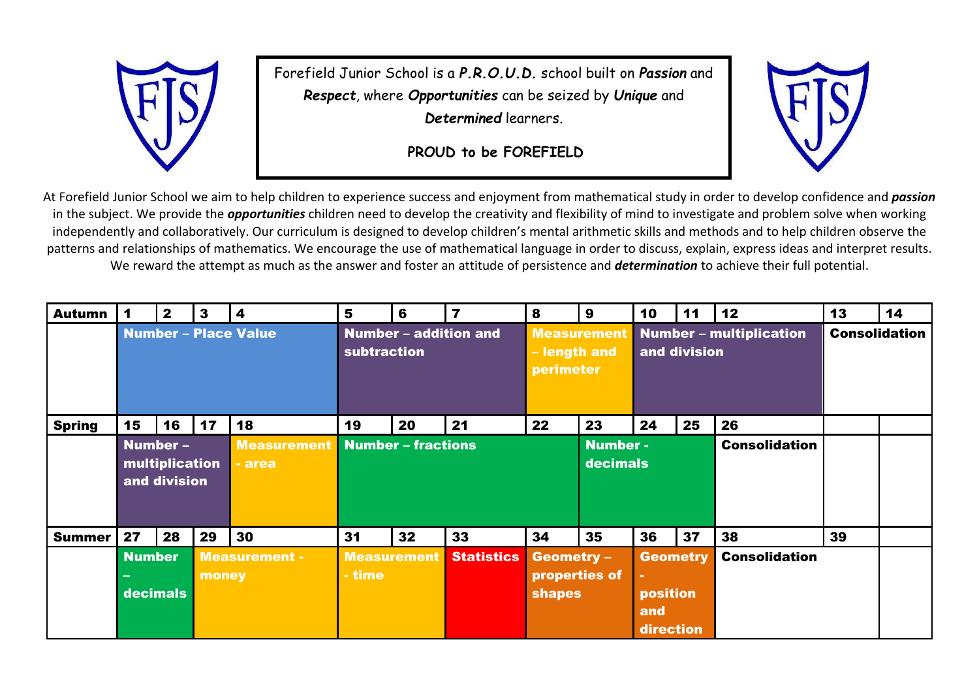

Forefield Junior School is a *P.R.O.U.D.* school built on *Passion* and *Respect*, where *Opportunities* can be seized by *Unique* and *Determined* learners.

**PROUD to be FOREFIELD**



At Forefield Junior School we aim to help children to experience success and enjoyment from mathematical study in order to develop confidence and *passion* in the subject. We provide the *opportunities* children need to develop the creativity and flexibility of mind to investigate and problem solve when working independently and collaboratively. Our curriculum is designed to develop children's mental arithmetic skills and methods and to help children observe the patterns and relationships of mathematics. We encourage the use of mathematical language in order to discuss, explain, express ideas and interpret results. We reward the attempt as much as the answer and foster an attitude of persistence and *determination* to achieve their full potential.

| <b>Autumn</b> |                                                              | $\mathbf{2}$ | $\mathbf{3}$                  | 4                                    | 5                            | 6  | $\overline{7}$                                  | 8                                                   | 9                                              | 10                                                   | 11 | 12                   | 13 | 14 |
|---------------|--------------------------------------------------------------|--------------|-------------------------------|--------------------------------------|------------------------------|----|-------------------------------------------------|-----------------------------------------------------|------------------------------------------------|------------------------------------------------------|----|----------------------|----|----|
|               | <b>Number - Place Value</b>                                  |              |                               | Number - addition and<br>subtraction |                              |    | <b>Measurement</b><br>- length and<br>perimeter |                                                     | <b>Number - multiplication</b><br>and division |                                                      |    | <b>Consolidation</b> |    |    |
| <b>Spring</b> | 15                                                           | 16           | 17                            | 18                                   | 19                           | 20 | 21                                              | 22                                                  | 23                                             | 24                                                   | 25 | 26                   |    |    |
|               | Number -<br>multiplication<br>and division                   |              |                               | <b>Measurement</b><br>- area         | <b>Number - fractions</b>    |    |                                                 |                                                     | <b>Number-</b><br>decimals                     |                                                      |    | <b>Consolidation</b> |    |    |
| <b>Summer</b> | 27                                                           | 28           | 29                            | 30                                   | 31                           | 32 | 33                                              | 34                                                  | 35                                             | 36                                                   | 37 | 38                   | 39 |    |
|               | <b>Number</b><br>$\overline{\phantom{0}}$<br><b>decimals</b> |              | <b>Measurement -</b><br>money |                                      | <b>Measurement</b><br>- time |    | <b>Statistics</b>                               | <b>Geometry -</b><br>properties of<br><b>shapes</b> |                                                | <b>Geometry</b><br>٠<br>position<br>and<br>direction |    | <b>Consolidation</b> |    |    |